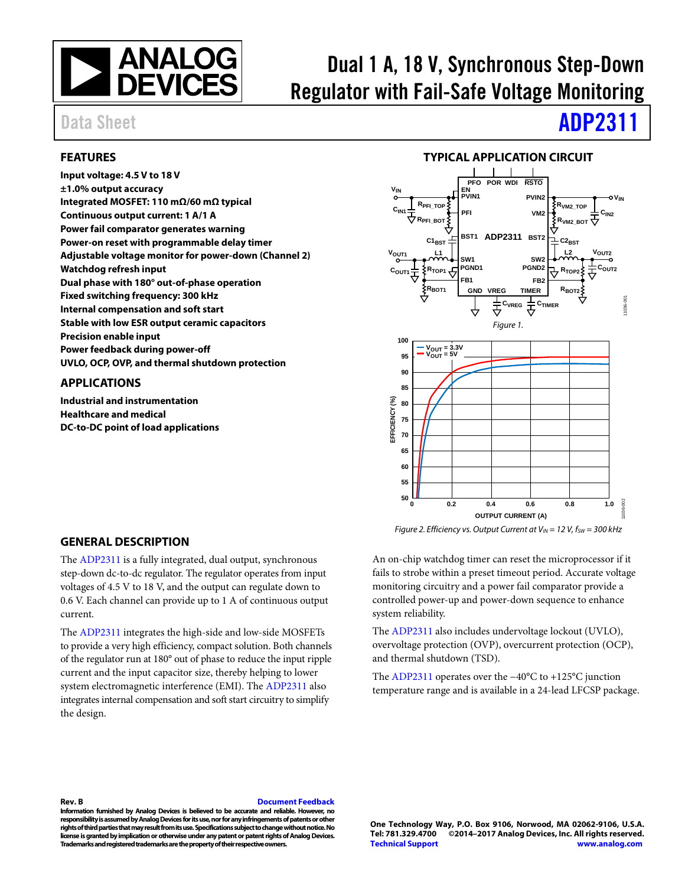

# Dual 1 A, 18 V, Synchronous Step-Down Regulator with Fail-Safe Voltage Monitoring

### <span id="page-0-0"></span>**FEATURES**

**Input voltage: 4.5 V to 18 V ±1.0% output accuracy Integrated MOSFET: 110 mΩ/60 mΩ typical Continuous output current: 1 A/1 A Power fail comparator generates warning Power-on reset with programmable delay timer Adjustable voltage monitor for power-down (Channel 2) Watchdog refresh input Dual phase with 180° out-of-phase operation Fixed switching frequency: 300 kHz Internal compensation and soft start Stable with low ESR output ceramic capacitors Precision enable input Power feedback during power-off UVLO, OCP, OVP, and thermal shutdown protection**

### <span id="page-0-1"></span>**APPLICATIONS**

**Industrial and instrumentation Healthcare and medical DC-to-DC point of load applications**

# Data Sheet **[ADP2311](http://www.analog.com/ADP2311?doc=ADP2311.pdf)**

### **TYPICAL APPLICATION CIRCUIT**

<span id="page-0-2"></span>

### *Figure 2. Efficiency vs. Output Current at V<sub>IN</sub> = 12 V,*  $f_{SW}$  *= 300 kHz*

### <span id="page-0-3"></span>**GENERAL DESCRIPTION**

The [ADP2311](http://www.analog.com/ADP2311?doc=ADP2311.pdf) is a fully integrated, dual output, synchronous step-down dc-to-dc regulator. The regulator operates from input voltages of 4.5 V to 18 V, and the output can regulate down to 0.6 V. Each channel can provide up to 1 A of continuous output current.

The [ADP2311](http://www.analog.com/ADP2311?doc=ADP2311.pdf) integrates the high-side and low-side MOSFETs to provide a very high efficiency, compact solution. Both channels of the regulator run at 180° out of phase to reduce the input ripple current and the input capacitor size, thereby helping to lower system electromagnetic interference (EMI). Th[e ADP2311](http://www.analog.com/ADP2311?doc=ADP2311.pdf) also integrates internal compensation and soft start circuitry to simplify the design.

An on-chip watchdog timer can reset the microprocessor if it fails to strobe within a preset timeout period. Accurate voltage monitoring circuitry and a power fail comparator provide a controlled power-up and power-down sequence to enhance system reliability.

The [ADP2311](http://www.analog.com/ADP2311?doc=ADP2311.pdf) also includes undervoltage lockout (UVLO), overvoltage protection (OVP), overcurrent protection (OCP), and thermal shutdown (TSD).

The [ADP2311](http://www.analog.com/ADP2311?doc=ADP2311.pdf) operates over the −40°C to +125°C junction temperature range and is available in a 24-lead LFCSP package.

### **Rev. B [Document Feedback](https://form.analog.com/Form_Pages/feedback/documentfeedback.aspx?doc=ADP2311.pdf&product=ADP2311&rev=B)**

**Information furnished by Analog Devices is believed to be accurate and reliable. However, no responsibility is assumed by Analog Devices for its use, nor for any infringements of patents or other rights of third parties that may result from its use. Specifications subject to change without notice. No license is granted by implication or otherwise under any patent or patent rights of Analog Devices. Trademarks and registered trademarks are the property of their respective owners.**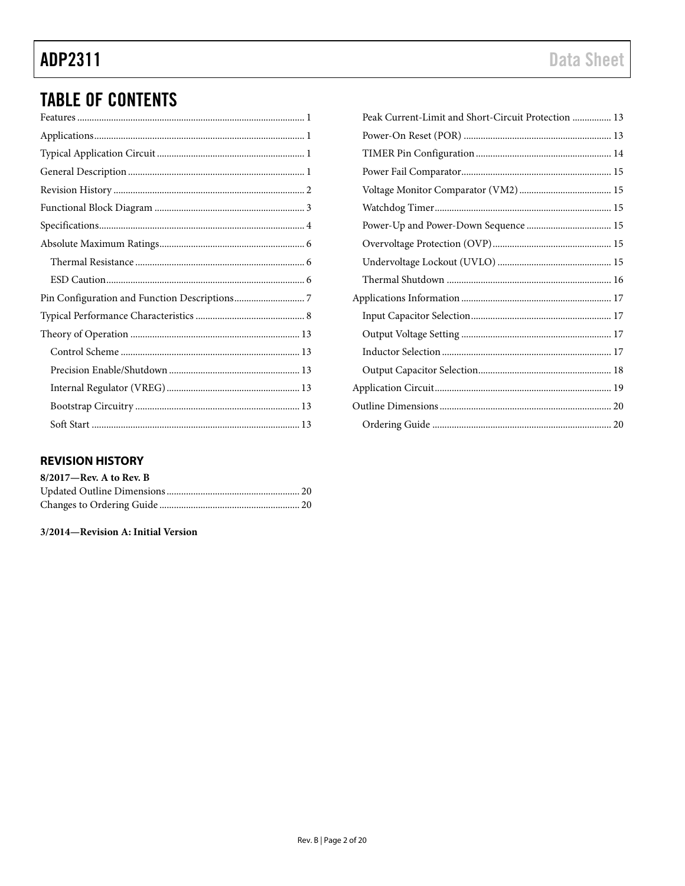# **TABLE OF CONTENTS**

### <span id="page-1-0"></span>**REVISION HISTORY**

| $8/2017$ —Rev. A to Rev. B |  |
|----------------------------|--|
|                            |  |
|                            |  |

3/2014-Revision A: Initial Version

| Peak Current-Limit and Short-Circuit Protection  13 |
|-----------------------------------------------------|
|                                                     |
|                                                     |
|                                                     |
|                                                     |
|                                                     |
|                                                     |
|                                                     |
|                                                     |
|                                                     |
|                                                     |
|                                                     |
|                                                     |
|                                                     |
|                                                     |
|                                                     |
|                                                     |
|                                                     |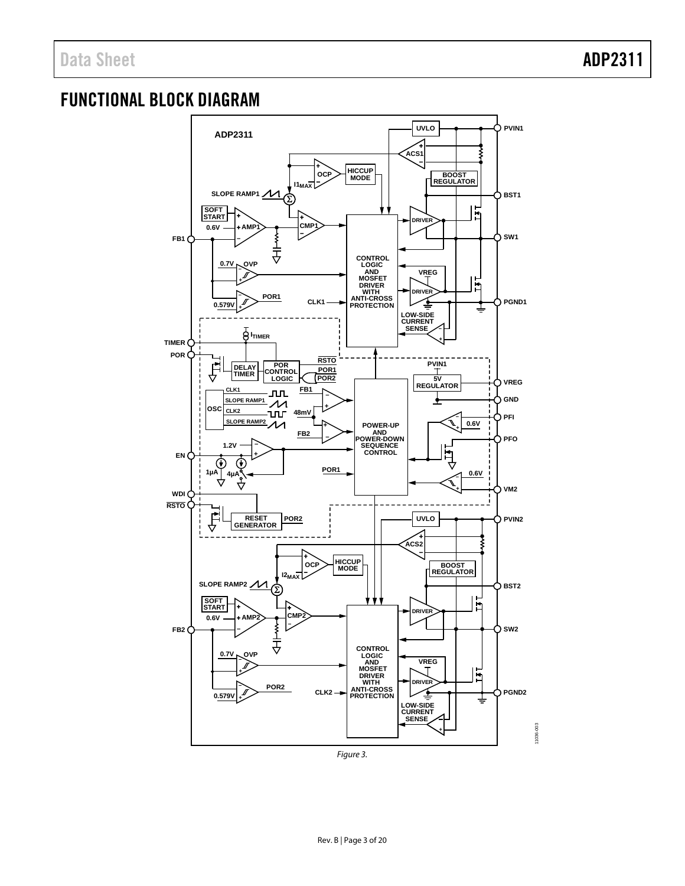## <span id="page-2-0"></span>FUNCTIONAL BLOCK DIAGRAM



*Figure 3.*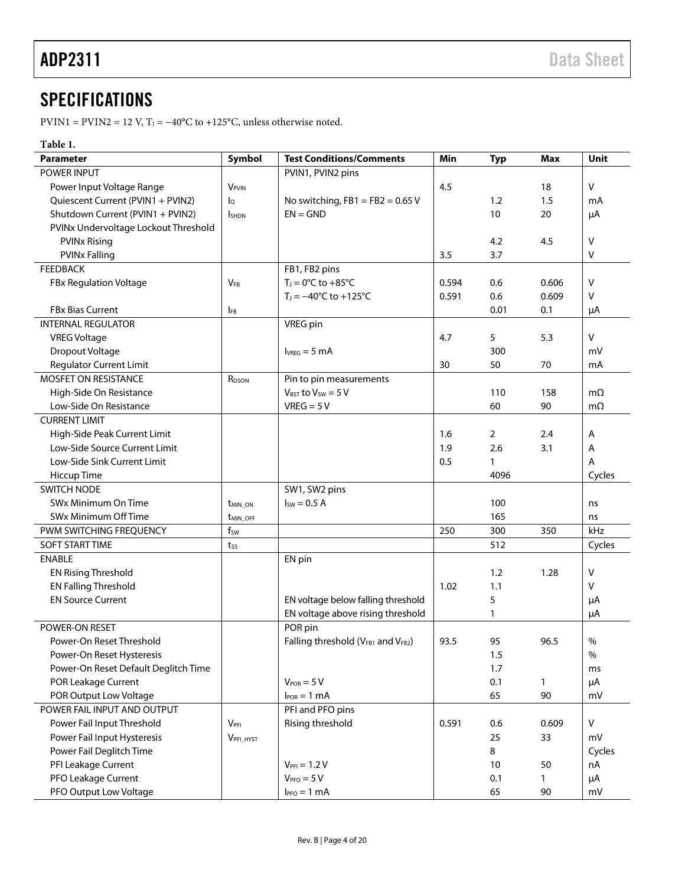# <span id="page-3-0"></span>**SPECIFICATIONS**

PVIN1 = PVIN2 = 12 V, T<sub>J</sub> =  $-40^{\circ}$ C to +125°C, unless otherwise noted.

### **Table 1.**

| <b>Parameter</b>                     | Symbol                     | <b>Test Conditions/Comments</b>         | Min   | <b>Typ</b> | <b>Max</b>   | Unit      |
|--------------------------------------|----------------------------|-----------------------------------------|-------|------------|--------------|-----------|
| <b>POWER INPUT</b>                   |                            | PVIN1, PVIN2 pins                       |       |            |              |           |
| Power Input Voltage Range            | <b>V</b> <sub>PVIN</sub>   |                                         | 4.5   |            | 18           | V         |
| Quiescent Current (PVIN1 + PVIN2)    | Ιo                         | No switching, $FB1 = FB2 = 0.65 V$      |       | 1.2        | 1.5          | mA        |
| Shutdown Current (PVIN1 + PVIN2)     | <b>I</b> SHDN              | $EN = GND$                              |       | 10         | 20           | μA        |
| PVINx Undervoltage Lockout Threshold |                            |                                         |       |            |              |           |
| <b>PVINx Rising</b>                  |                            |                                         |       | 4.2        | 4.5          | V         |
| <b>PVINx Falling</b>                 |                            |                                         | 3.5   | 3.7        |              | v         |
| <b>FEEDBACK</b>                      |                            | FB1, FB2 pins                           |       |            |              |           |
| FBx Regulation Voltage               | $V_{FB}$                   | $T_J = 0$ °C to +85°C                   | 0.594 | 0.6        | 0.606        | v         |
|                                      |                            | $T_J = -40^{\circ}C$ to $+125^{\circ}C$ | 0.591 | 0.6        | 0.609        | v         |
| <b>FBx Bias Current</b>              | <b>IFB</b>                 |                                         |       | 0.01       | 0.1          | μA        |
| <b>INTERNAL REGULATOR</b>            |                            | VREG pin                                |       |            |              |           |
| <b>VREG Voltage</b>                  |                            |                                         | 4.7   | 5          | 5.3          | v         |
| Dropout Voltage                      |                            | $I_{VREG} = 5 \text{ mA}$               |       | 300        |              | mV        |
| <b>Regulator Current Limit</b>       |                            |                                         | 30    | 50         | 70           | mA        |
| MOSFET ON RESISTANCE                 | R <sub>DSON</sub>          | Pin to pin measurements                 |       |            |              |           |
| High-Side On Resistance              |                            | $V_{BST}$ to $V_{SW} = 5 V$             |       | 110        | 158          | $m\Omega$ |
| Low-Side On Resistance               |                            | $VREG = 5V$                             |       | 60         | 90           | $m\Omega$ |
| <b>CURRENT LIMIT</b>                 |                            |                                         |       |            |              |           |
| High-Side Peak Current Limit         |                            |                                         | 1.6   | 2          | 2.4          | Α         |
| Low-Side Source Current Limit        |                            |                                         | 1.9   | 2.6        | 3.1          | Α         |
| Low-Side Sink Current Limit          |                            |                                         | 0.5   | 1          |              | Α         |
| Hiccup Time                          |                            |                                         |       | 4096       |              | Cycles    |
| <b>SWITCH NODE</b>                   |                            | SW1, SW2 pins                           |       |            |              |           |
| SWx Minimum On Time                  | <b>t</b> <sub>MIN</sub> ON | $Isw = 0.5 A$                           |       | 100        |              | ns        |
| SWx Minimum Off Time                 | t <sub>MIN_OFF</sub>       |                                         |       | 165        |              | ns        |
| PWM SWITCHING FREQUENCY              | $f_{SW}$                   |                                         | 250   | 300        | 350          | kHz       |
| SOFT START TIME                      | tss                        |                                         |       | 512        |              | Cycles    |
| <b>ENABLE</b>                        |                            | EN pin                                  |       |            |              |           |
| <b>EN Rising Threshold</b>           |                            |                                         |       | 1.2        | 1.28         | v         |
| <b>EN Falling Threshold</b>          |                            |                                         | 1.02  | 1.1        |              | v         |
| <b>EN Source Current</b>             |                            | EN voltage below falling threshold      |       | 5          |              | μA        |
|                                      |                            | EN voltage above rising threshold       |       | 1          |              | μA        |
| POWER-ON RESET                       |                            | POR pin                                 |       |            |              |           |
| Power-On Reset Threshold             |                            | Falling threshold (VFB1 and VFB2)       | 93.5  | 95         | 96.5         | $\%$      |
| Power-On Reset Hysteresis            |                            |                                         |       | 1.5        |              | $\%$      |
| Power-On Reset Default Deglitch Time |                            |                                         |       | 1.7        |              | ms        |
| POR Leakage Current                  |                            | $V_{POR} = 5 V$                         |       | 0.1        | $\mathbf{1}$ | μA        |
| POR Output Low Voltage               |                            | $I_{POR} = 1$ mA                        |       | 65         | 90           | mV        |
| POWER FAIL INPUT AND OUTPUT          |                            | PFI and PFO pins                        |       |            |              |           |
| Power Fail Input Threshold           | $V_{\rm PFI}$              | Rising threshold                        | 0.591 | 0.6        | 0.609        | $\vee$    |
| Power Fail Input Hysteresis          | VPFI_HYST                  |                                         |       | 25         | 33           | mV        |
| Power Fail Deglitch Time             |                            |                                         |       | 8          |              | Cycles    |
| PFI Leakage Current                  |                            | $V_{\text{PFI}} = 1.2 V$                |       | 10         | 50           | nA        |
| PFO Leakage Current                  |                            | $VPRO = 5 V$                            |       | 0.1        | $\mathbf{1}$ | μA        |
| PFO Output Low Voltage               |                            | $IPPO = 1 mA$                           |       | 65         | 90           | mV        |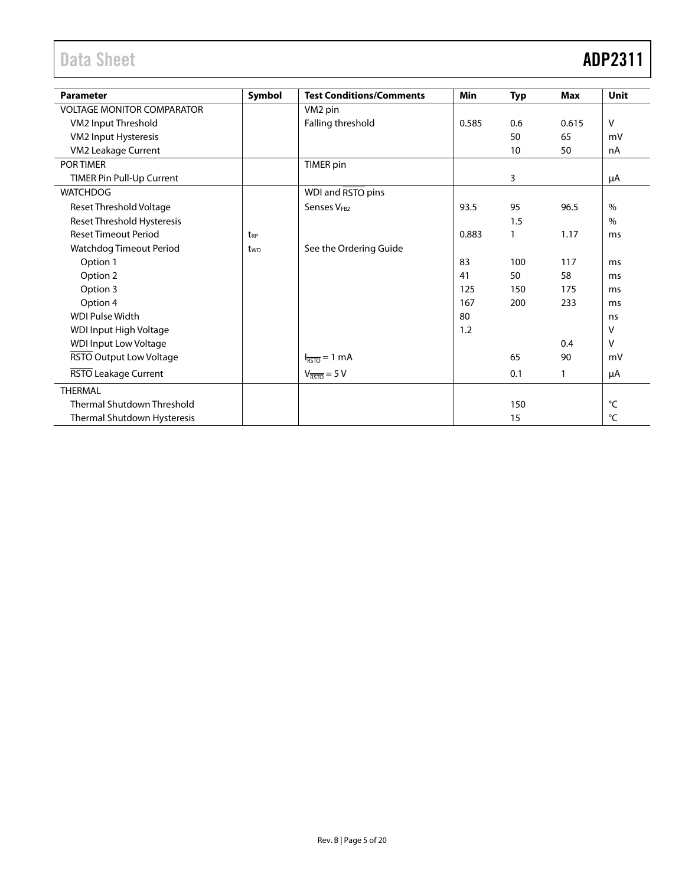# Data Sheet **ADP2311**

| <b>Parameter</b>                  | Symbol          | <b>Test Conditions/Comments</b> | Min   | <b>Typ</b> | <b>Max</b> | Unit         |
|-----------------------------------|-----------------|---------------------------------|-------|------------|------------|--------------|
| <b>VOLTAGE MONITOR COMPARATOR</b> |                 | VM <sub>2</sub> pin             |       |            |            |              |
| VM2 Input Threshold               |                 | Falling threshold               | 0.585 | 0.6        | 0.615      | $\vee$       |
| VM2 Input Hysteresis              |                 |                                 |       | 50         | 65         | mV           |
| VM2 Leakage Current               |                 |                                 |       | 10         | 50         | nA           |
| POR TIMER                         |                 | <b>TIMER</b> pin                |       |            |            |              |
| TIMER Pin Pull-Up Current         |                 |                                 |       | 3          |            | μA           |
| <b>WATCHDOG</b>                   |                 | WDI and RSTO pins               |       |            |            |              |
| <b>Reset Threshold Voltage</b>    |                 | Senses V <sub>FB2</sub>         | 93.5  | 95         | 96.5       | $\%$         |
| Reset Threshold Hysteresis        |                 |                                 |       | 1.5        |            | $\%$         |
| <b>Reset Timeout Period</b>       | t <sub>RP</sub> |                                 | 0.883 | 1          | 1.17       | ms           |
| Watchdog Timeout Period           | t <sub>wp</sub> | See the Ordering Guide          |       |            |            |              |
| Option 1                          |                 |                                 | 83    | 100        | 117        | ms           |
| Option 2                          |                 |                                 | 41    | 50         | 58         | ms           |
| Option 3                          |                 |                                 | 125   | 150        | 175        | ms           |
| Option 4                          |                 |                                 | 167   | 200        | 233        | ms           |
| <b>WDI Pulse Width</b>            |                 |                                 | 80    |            |            | ns           |
| WDI Input High Voltage            |                 |                                 | 1.2   |            |            | v            |
| <b>WDI Input Low Voltage</b>      |                 |                                 |       |            | 0.4        | v            |
| RSTO Output Low Voltage           |                 | $I_{\overline{RSTO}} = 1$ mA    |       | 65         | 90         | mV           |
| RSTO Leakage Current              |                 | $V_{\overline{RSTO}} = 5 V$     |       | 0.1        | 1          | μA           |
| <b>THERMAL</b>                    |                 |                                 |       |            |            |              |
| <b>Thermal Shutdown Threshold</b> |                 |                                 |       | 150        |            | $^{\circ}$ C |
| Thermal Shutdown Hysteresis       |                 |                                 |       | 15         |            | °C           |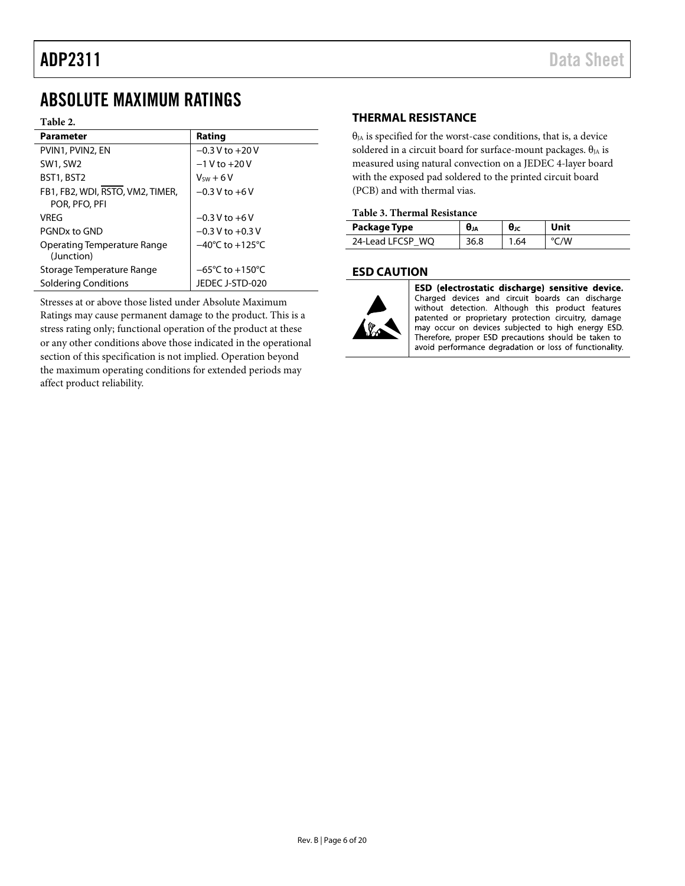## <span id="page-5-0"></span>ABSOLUTE MAXIMUM RATINGS

### **Table 2.**

| <b>Parameter</b>                                  | Rating                              |
|---------------------------------------------------|-------------------------------------|
| PVIN1, PVIN2, EN                                  | $-0.3$ V to $+20$ V                 |
| <b>SW1, SW2</b>                                   | $-1 V$ to $+20 V$                   |
| BST1, BST2                                        | $V_{sw} + 6V$                       |
| FB1, FB2, WDI, RSTO, VM2, TIMER,<br>POR, PFO, PFI | $-0.3$ V to $+6$ V                  |
| VRFG                                              | $-0.3$ V to $+6$ V                  |
| PGNDx to GND                                      | $-0.3$ V to $+0.3$ V                |
| Operating Temperature Range<br>(Junction)         | $-40^{\circ}$ C to $+125^{\circ}$ C |
| Storage Temperature Range                         | $-65^{\circ}$ C to $+150^{\circ}$ C |
| Soldering Conditions                              | JEDEC J-STD-020                     |

<span id="page-5-1"></span>Stresses at or above those listed under Absolute Maximum Ratings may cause permanent damage to the product. This is a stress rating only; functional operation of the product at these or any other conditions above those indicated in the operational section of this specification is not implied. Operation beyond the maximum operating conditions for extended periods may affect product reliability.

### **THERMAL RESISTANCE**

 $\theta_{JA}$  is specified for the worst-case conditions, that is, a device soldered in a circuit board for surface-mount packages.  $\theta_{JA}$  is measured using natural convection on a JEDEC 4-layer board with the exposed pad soldered to the printed circuit board (PCB) and with thermal vias.

### **Table 3. Thermal Resistance**

| Package Type     | σJΑ | θĸ  |      |
|------------------|-----|-----|------|
| 24-Lead LFCSP WQ |     | .64 | °C/W |

### <span id="page-5-2"></span>**ESD CAUTION**



ESD (electrostatic discharge) sensitive device. Charged devices and circuit boards can discharge without detection. Although this product features patented or proprietary protection circuitry, damage may occur on devices subjected to high energy ESD. Therefore, proper ESD precautions should be taken to avoid performance degradation or loss of functionality.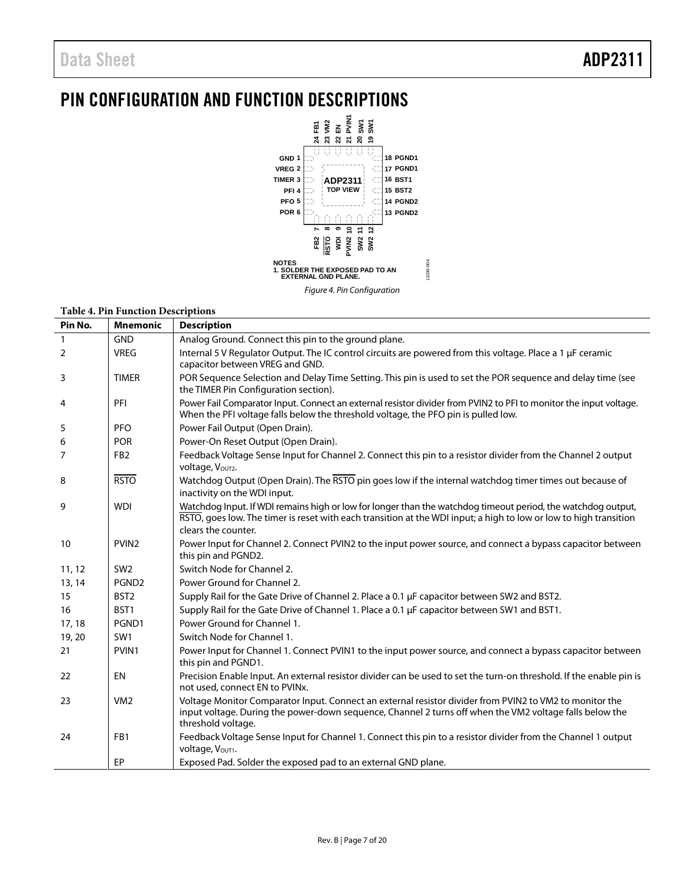# <span id="page-6-0"></span>PIN CONFIGURATION AND FUNCTION DESCRIPTIONS



### **Table 4. Pin Function Descriptions**

| Pin No.        | <b>Mnemonic</b>   | <b>Description</b>                                                                                                                                                                                                                                       |
|----------------|-------------------|----------------------------------------------------------------------------------------------------------------------------------------------------------------------------------------------------------------------------------------------------------|
| $\mathbf{1}$   | <b>GND</b>        | Analog Ground. Connect this pin to the ground plane.                                                                                                                                                                                                     |
| $\overline{2}$ | <b>VREG</b>       | Internal 5 V Regulator Output. The IC control circuits are powered from this voltage. Place a 1 µF ceramic<br>capacitor between VREG and GND.                                                                                                            |
| 3              | <b>TIMER</b>      | POR Sequence Selection and Delay Time Setting. This pin is used to set the POR sequence and delay time (see<br>the TIMER Pin Configuration section).                                                                                                     |
| 4              | PFI               | Power Fail Comparator Input. Connect an external resistor divider from PVIN2 to PFI to monitor the input voltage.<br>When the PFI voltage falls below the threshold voltage, the PFO pin is pulled low.                                                  |
| 5              | <b>PFO</b>        | Power Fail Output (Open Drain).                                                                                                                                                                                                                          |
| 6              | <b>POR</b>        | Power-On Reset Output (Open Drain).                                                                                                                                                                                                                      |
| 7              | FB <sub>2</sub>   | Feedback Voltage Sense Input for Channel 2. Connect this pin to a resistor divider from the Channel 2 output<br>Voltage, Vout2.                                                                                                                          |
| 8              | <b>RSTO</b>       | Watchdog Output (Open Drain). The RSTO pin goes low if the internal watchdog timer times out because of<br>inactivity on the WDI input.                                                                                                                  |
| 9              | <b>WDI</b>        | Watchdog Input. If WDI remains high or low for longer than the watchdog timeout period, the watchdog output,<br>RSTO, goes low. The timer is reset with each transition at the WDI input; a high to low or low to high transition<br>clears the counter. |
| 10             | PVIN <sub>2</sub> | Power Input for Channel 2. Connect PVIN2 to the input power source, and connect a bypass capacitor between<br>this pin and PGND2.                                                                                                                        |
| 11, 12         | SW <sub>2</sub>   | Switch Node for Channel 2.                                                                                                                                                                                                                               |
| 13, 14         | PGND <sub>2</sub> | Power Ground for Channel 2.                                                                                                                                                                                                                              |
| 15             | BST <sub>2</sub>  | Supply Rail for the Gate Drive of Channel 2. Place a 0.1 µF capacitor between SW2 and BST2.                                                                                                                                                              |
| 16             | BST1              | Supply Rail for the Gate Drive of Channel 1. Place a 0.1 µF capacitor between SW1 and BST1.                                                                                                                                                              |
| 17, 18         | PGND1             | Power Ground for Channel 1.                                                                                                                                                                                                                              |
| 19, 20         | SW1               | Switch Node for Channel 1.                                                                                                                                                                                                                               |
| 21             | PVIN1             | Power Input for Channel 1. Connect PVIN1 to the input power source, and connect a bypass capacitor between<br>this pin and PGND1.                                                                                                                        |
| 22             | EN                | Precision Enable Input. An external resistor divider can be used to set the turn-on threshold. If the enable pin is<br>not used, connect EN to PVINx.                                                                                                    |
| 23             | VM <sub>2</sub>   | Voltage Monitor Comparator Input. Connect an external resistor divider from PVIN2 to VM2 to monitor the<br>input voltage. During the power-down sequence, Channel 2 turns off when the VM2 voltage falls below the<br>threshold voltage.                 |
| 24             | FB1               | Feedback Voltage Sense Input for Channel 1. Connect this pin to a resistor divider from the Channel 1 output<br>Voltage, Vout1.                                                                                                                          |
|                | <b>EP</b>         | Exposed Pad. Solder the exposed pad to an external GND plane.                                                                                                                                                                                            |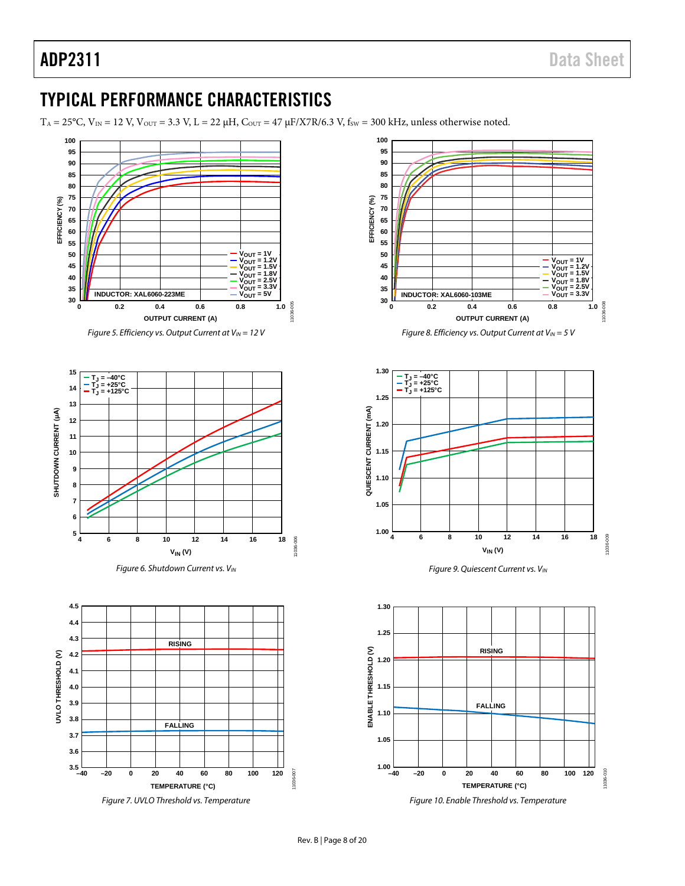# <span id="page-7-0"></span>TYPICAL PERFORMANCE CHARACTERISTICS

 $T_A = 25^{\circ}$ C,  $V_{IN} = 12$  V,  $V_{OUT} = 3.3$  V,  $L = 22 \mu H$ ,  $C_{OUT} = 47 \mu F/X7R/6.3$  V,  $f_{SW} = 300$  kHz, unless otherwise noted.

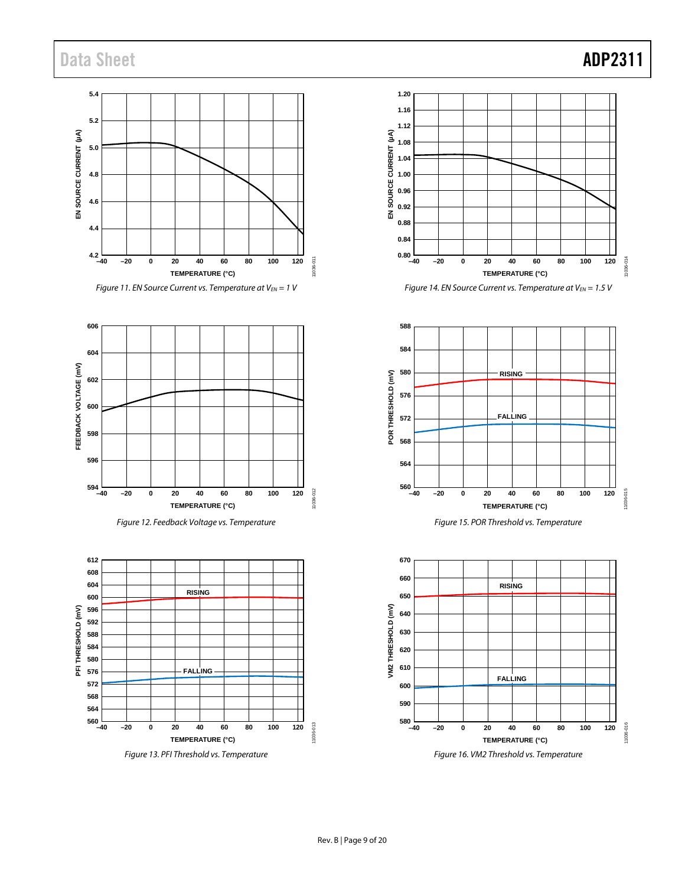# Data Sheet **ADP2311**



*Figure 11. EN Source Current vs. Temperature at*  $V_{EN}$  = 1 *V* 















*Figure 15. POR Threshold vs. Temperature*

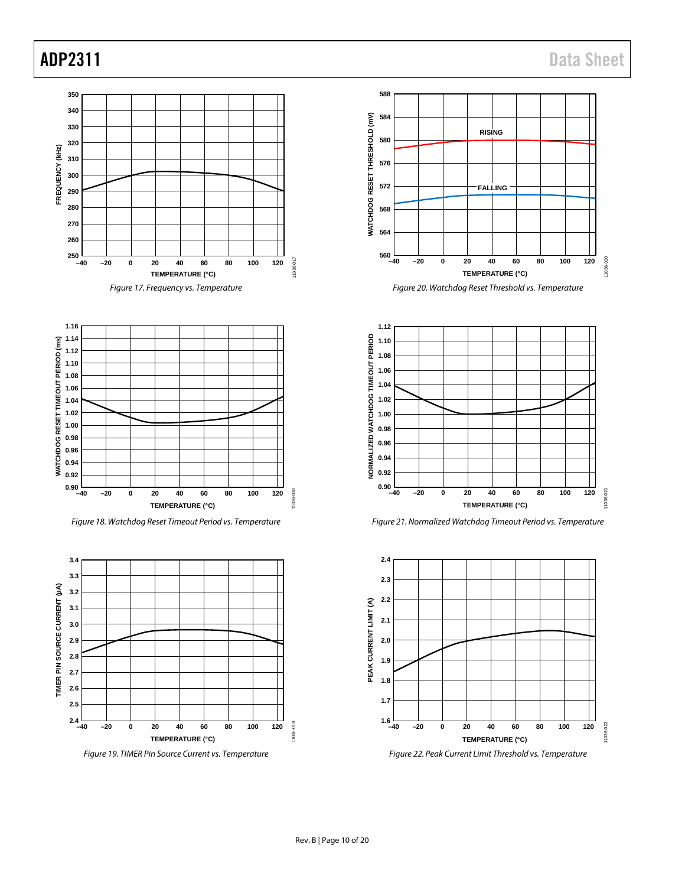



*Figure 18. Watchdog Reset Timeout Period vs. Temperature*



*Figure 19. TIMER Pin Source Current vs. Temperature*







*Figure 21. Normalized Watchdog Timeout Period vs. Temperature*



*Figure 22. Peak Current Limit Threshold vs. Temperature*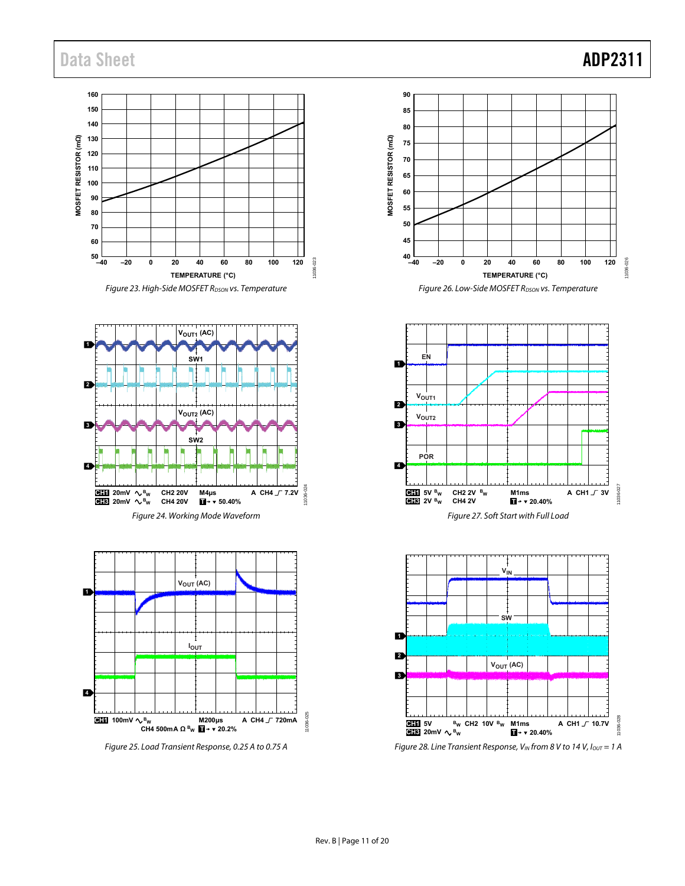## Data Sheet **ADP2311**

**160 150 140** MOSFET RESISTOR (mΩ) **130 MOSFET RESISTOR (mΩ) 120 110 100 90 80 70 60**  $50 -40$ 11036-023 11036-023 **–40 –20 0 20 40 60 80 100 120 TEMPERATURE (°C)** Figure 23. High-Side MOSFET R<sub>DSON</sub> vs. Temperature







Figure 25. Load Transient Response, 0.25 A to 0.75 A







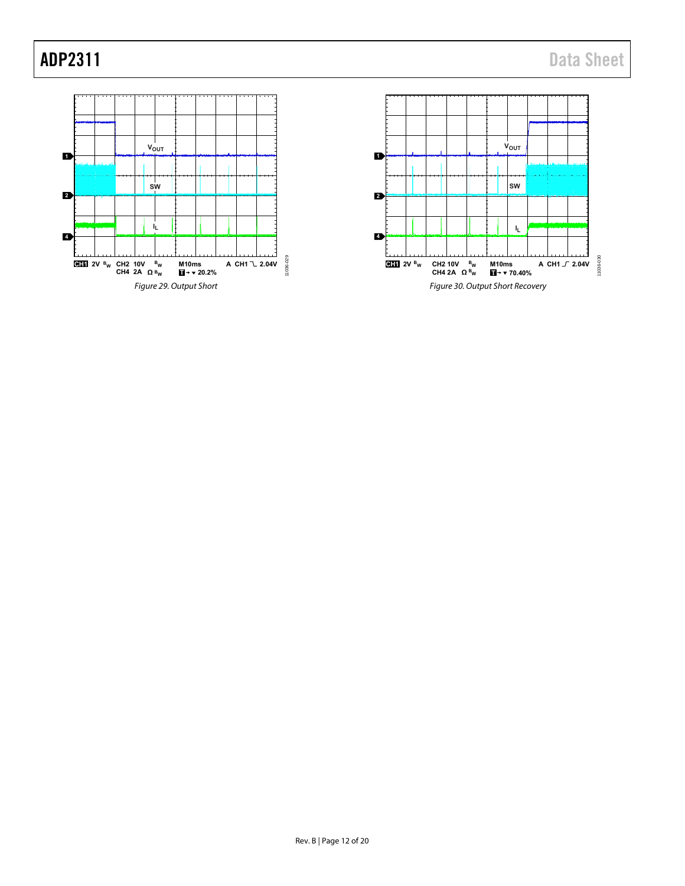

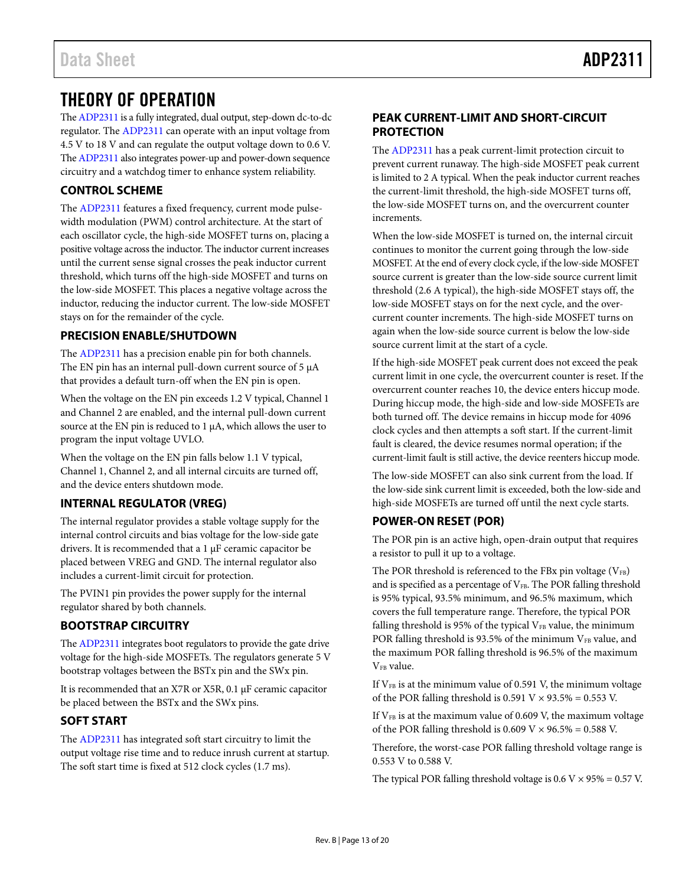## <span id="page-12-0"></span>THEORY OF OPERATION

Th[e ADP2311](http://www.analog.com/ADP2311?doc=ADP2311.pdf) is a fully integrated, dual output, step-down dc-to-dc regulator. Th[e ADP2311](http://www.analog.com/ADP2311?doc=ADP2311.pdf) can operate with an input voltage from 4.5 V to 18 V and can regulate the output voltage down to 0.6 V. Th[e ADP2311](http://www.analog.com/ADP2311?doc=ADP2311.pdf) also integrates power-up and power-down sequence circuitry and a watchdog timer to enhance system reliability.

### <span id="page-12-1"></span>**CONTROL SCHEME**

The [ADP2311](http://www.analog.com/ADP2311?doc=ADP2311.pdf) features a fixed frequency, current mode pulsewidth modulation (PWM) control architecture. At the start of each oscillator cycle, the high-side MOSFET turns on, placing a positive voltage across the inductor. The inductor current increases until the current sense signal crosses the peak inductor current threshold, which turns off the high-side MOSFET and turns on the low-side MOSFET. This places a negative voltage across the inductor, reducing the inductor current. The low-side MOSFET stays on for the remainder of the cycle.

### <span id="page-12-2"></span>**PRECISION ENABLE/SHUTDOWN**

The [ADP2311](http://www.analog.com/ADP2311?doc=ADP2311.pdf) has a precision enable pin for both channels. The EN pin has an internal pull-down current source of 5  $\mu$ A that provides a default turn-off when the EN pin is open.

When the voltage on the EN pin exceeds 1.2 V typical, Channel 1 and Channel 2 are enabled, and the internal pull-down current source at the EN pin is reduced to 1 µA, which allows the user to program the input voltage UVLO.

When the voltage on the EN pin falls below 1.1 V typical, Channel 1, Channel 2, and all internal circuits are turned off, and the device enters shutdown mode.

### <span id="page-12-3"></span>**INTERNAL REGULATOR (VREG)**

The internal regulator provides a stable voltage supply for the internal control circuits and bias voltage for the low-side gate drivers. It is recommended that a 1 µF ceramic capacitor be placed between VREG and GND. The internal regulator also includes a current-limit circuit for protection.

The PVIN1 pin provides the power supply for the internal regulator shared by both channels.

### <span id="page-12-4"></span>**BOOTSTRAP CIRCUITRY**

Th[e ADP2311](http://www.analog.com/ADP2311?doc=ADP2311.pdf) integrates boot regulators to provide the gate drive voltage for the high-side MOSFETs. The regulators generate 5 V bootstrap voltages between the BSTx pin and the SWx pin.

It is recommended that an X7R or X5R, 0.1 µF ceramic capacitor be placed between the BSTx and the SWx pins.

### <span id="page-12-5"></span>**SOFT START**

The [ADP2311](http://www.analog.com/ADP2311?doc=ADP2311.pdf) has integrated soft start circuitry to limit the output voltage rise time and to reduce inrush current at startup. The soft start time is fixed at 512 clock cycles (1.7 ms).

### <span id="page-12-6"></span>**PEAK CURRENT-LIMIT AND SHORT-CIRCUIT PROTECTION**

The [ADP2311](http://www.analog.com/ADP2311?doc=ADP2311.pdf) has a peak current-limit protection circuit to prevent current runaway. The high-side MOSFET peak current is limited to 2 A typical. When the peak inductor current reaches the current-limit threshold, the high-side MOSFET turns off, the low-side MOSFET turns on, and the overcurrent counter increments.

When the low-side MOSFET is turned on, the internal circuit continues to monitor the current going through the low-side MOSFET. At the end of every clock cycle, if the low-side MOSFET source current is greater than the low-side source current limit threshold (2.6 A typical), the high-side MOSFET stays off, the low-side MOSFET stays on for the next cycle, and the overcurrent counter increments. The high-side MOSFET turns on again when the low-side source current is below the low-side source current limit at the start of a cycle.

If the high-side MOSFET peak current does not exceed the peak current limit in one cycle, the overcurrent counter is reset. If the overcurrent counter reaches 10, the device enters hiccup mode. During hiccup mode, the high-side and low-side MOSFETs are both turned off. The device remains in hiccup mode for 4096 clock cycles and then attempts a soft start. If the current-limit fault is cleared, the device resumes normal operation; if the current-limit fault is still active, the device reenters hiccup mode.

The low-side MOSFET can also sink current from the load. If the low-side sink current limit is exceeded, both the low-side and high-side MOSFETs are turned off until the next cycle starts.

### <span id="page-12-7"></span>**POWER-ON RESET (POR)**

The POR pin is an active high, open-drain output that requires a resistor to pull it up to a voltage.

The POR threshold is referenced to the FBx pin voltage  $(V_{FB})$ and is specified as a percentage of  $V_{FB}$ . The POR falling threshold is 95% typical, 93.5% minimum, and 96.5% maximum, which covers the full temperature range. Therefore, the typical POR falling threshold is 95% of the typical  $V_{FB}$  value, the minimum POR falling threshold is 93.5% of the minimum VFB value, and the maximum POR falling threshold is 96.5% of the maximum V<sub>FB</sub> value.

If  $V_{FB}$  is at the minimum value of 0.591 V, the minimum voltage of the POR falling threshold is  $0.591$  V  $\times$  93.5% = 0.553 V.

If  $V_{FB}$  is at the maximum value of 0.609 V, the maximum voltage of the POR falling threshold is  $0.609 \text{ V} \times 96.5\% = 0.588 \text{ V}$ .

Therefore, the worst-case POR falling threshold voltage range is 0.553 V to 0.588 V.

The typical POR falling threshold voltage is  $0.6$  V  $\times$  95% = 0.57 V.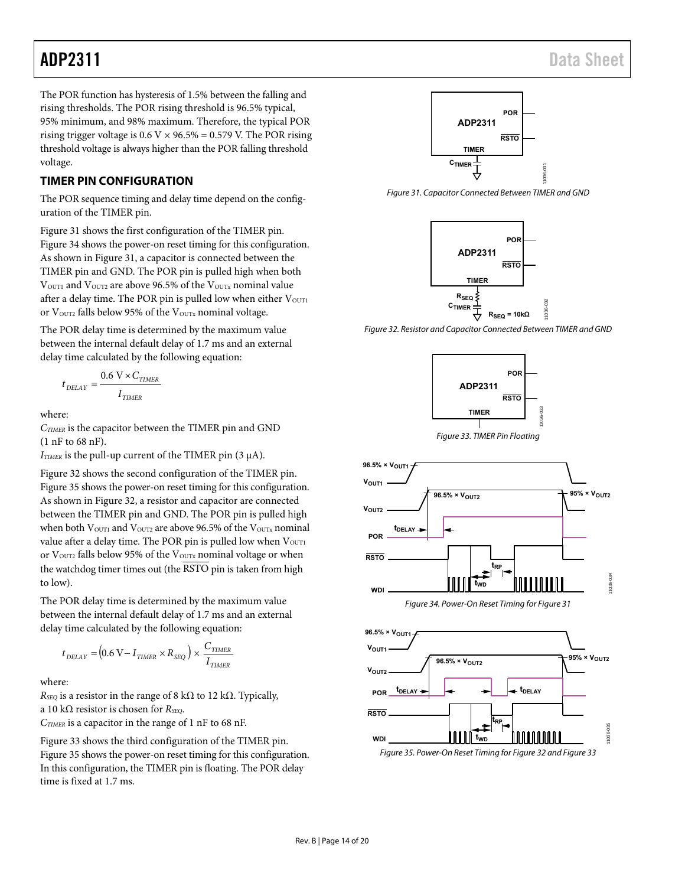The POR function has hysteresis of 1.5% between the falling and rising thresholds. The POR rising threshold is 96.5% typical, 95% minimum, and 98% maximum. Therefore, the typical POR rising trigger voltage is  $0.6$  V  $\times$  96.5% = 0.579 V. The POR rising threshold voltage is always higher than the POR falling threshold voltage.

### <span id="page-13-0"></span>**TIMER PIN CONFIGURATION**

The POR sequence timing and delay time depend on the configuration of the TIMER pin.

[Figure 31 s](#page-13-1)hows the first configuration of the TIMER pin. [Figure 34 s](#page-13-2)hows the power-on reset timing for this configuration. As shown in [Figure 31,](#page-13-1) a capacitor is connected between the TIMER pin and GND. The POR pin is pulled high when both  $V<sub>OUT1</sub>$  and  $V<sub>OUT2</sub>$  are above 96.5% of the  $V<sub>OUTX</sub>$  nominal value after a delay time. The POR pin is pulled low when either  $V<sub>OUT1</sub>$ or V<sub>OUT2</sub> falls below 95% of the V<sub>OUTx</sub> nominal voltage.

The POR delay time is determined by the maximum value between the internal default delay of 1.7 ms and an external delay time calculated by the following equation:

$$
t_{\text{DELAY}} = \frac{0.6 \text{ V} \times C_{\text{TIMER}}}{I_{\text{TIMER}}}
$$

where:

*CTIMER* is the capacitor between the TIMER pin and GND (1 nF to 68 nF).

 $I_{TIMER}$  is the pull-up current of the TIMER pin (3  $\mu$ A).

[Figure 32 s](#page-13-3)hows the second configuration of the TIMER pin. [Figure 35 s](#page-13-4)hows the power-on reset timing for this configuration. As shown in [Figure 32,](#page-13-3) a resistor and capacitor are connected between the TIMER pin and GND. The POR pin is pulled high when both V<sub>OUT1</sub> and V<sub>OUT2</sub> are above 96.5% of the V<sub>OUTx</sub> nominal value after a delay time. The POR pin is pulled low when  $V<sub>OUT1</sub>$ or V<sub>OUT2</sub> falls below 95% of the V<sub>OUTx</sub> nominal voltage or when the watchdog timer times out (the  $\overline{\text{RSTO}}$  pin is taken from high to low).

The POR delay time is determined by the maximum value between the internal default delay of 1.7 ms and an external delay time calculated by the following equation:

$$
t_{DELAY} = (0.6 \text{ V} - I_{TIMER} \times R_{SEQ}) \times \frac{C_{TIMER}}{I_{TIMER}}
$$

where:

 $R_{SEQ}$  is a resistor in the range of 8 k $\Omega$  to 12 k $\Omega$ . Typically, a 10 kΩ resistor is chosen for *RSEQ*.

*CTIMER* is a capacitor in the range of 1 nF to 68 nF.

[Figure 33 s](#page-13-5)hows the third configuration of the TIMER pin. [Figure 35 s](#page-13-4)hows the power-on reset timing for this configuration. In this configuration, the TIMER pin is floating. The POR delay time is fixed at 1.7 ms.



<span id="page-13-1"></span>Figure 31. Capacitor Connected Between TIMER and GND



<span id="page-13-3"></span>Figure 32. Resistor and Capacitor Connected Between TIMER and GND

11036-032





<span id="page-13-5"></span>

Figure 34. Power-On Reset Timing fo[r Figure 31](#page-13-1) 

<span id="page-13-4"></span><span id="page-13-2"></span>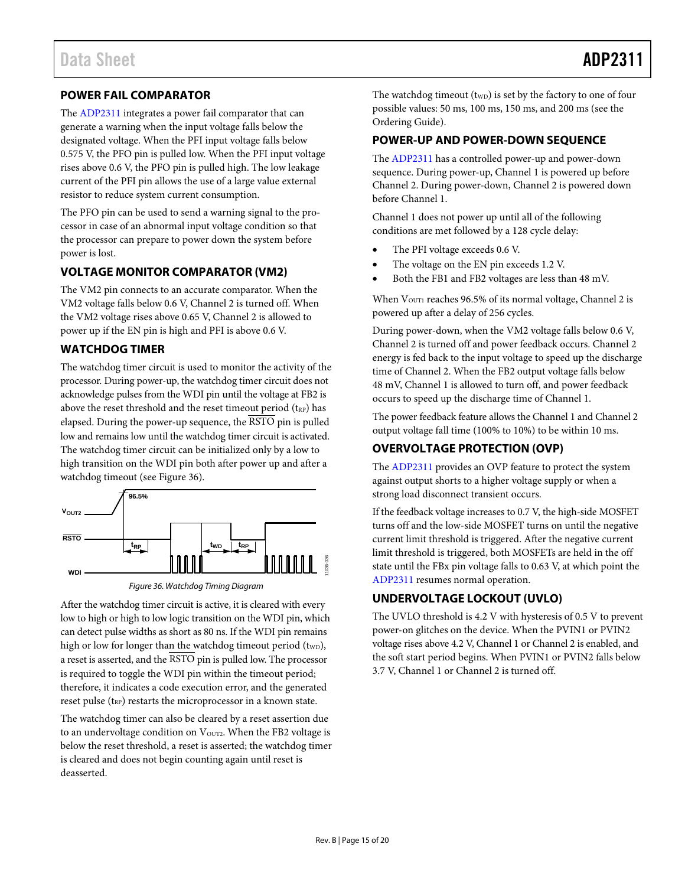### <span id="page-14-0"></span>**POWER FAIL COMPARATOR**

The [ADP2311](http://www.analog.com/ADP2311?doc=ADP2311.pdf) integrates a power fail comparator that can generate a warning when the input voltage falls below the designated voltage. When the PFI input voltage falls below 0.575 V, the PFO pin is pulled low. When the PFI input voltage rises above 0.6 V, the PFO pin is pulled high. The low leakage current of the PFI pin allows the use of a large value external resistor to reduce system current consumption.

The PFO pin can be used to send a warning signal to the processor in case of an abnormal input voltage condition so that the processor can prepare to power down the system before power is lost.

### <span id="page-14-1"></span>**VOLTAGE MONITOR COMPARATOR (VM2)**

The VM2 pin connects to an accurate comparator. When the VM2 voltage falls below 0.6 V, Channel 2 is turned off. When the VM2 voltage rises above 0.65 V, Channel 2 is allowed to power up if the EN pin is high and PFI is above 0.6 V.

### <span id="page-14-2"></span>**WATCHDOG TIMER**

The watchdog timer circuit is used to monitor the activity of the processor. During power-up, the watchdog timer circuit does not acknowledge pulses from the WDI pin until the voltage at FB2 is above the reset threshold and the reset timeout period  $(t_{RP})$  has elapsed. During the power-up sequence, the RSTO pin is pulled low and remains low until the watchdog timer circuit is activated. The watchdog timer circuit can be initialized only by a low to high transition on the WDI pin both after power up and after a watchdog timeout (see [Figure 36\)](#page-14-6).



*Figure 36. Watchdog Timing Diagram*

<span id="page-14-6"></span>After the watchdog timer circuit is active, it is cleared with every low to high or high to low logic transition on the WDI pin, which can detect pulse widths as short as 80 ns. If the WDI pin remains high or low for longer than the watchdog timeout period (t<sub>WD</sub>), a reset is asserted, and the RSTO pin is pulled low. The processor is required to toggle the WDI pin within the timeout period; therefore, it indicates a code execution error, and the generated reset pulse  $(t_{RP})$  restarts the microprocessor in a known state.

The watchdog timer can also be cleared by a reset assertion due to an undervoltage condition on  $V<sub>OUT2</sub>$ . When the FB2 voltage is below the reset threshold, a reset is asserted; the watchdog timer is cleared and does not begin counting again until reset is deasserted.

The watchdog timeout  $(t_{WD})$  is set by the factory to one of four possible values: 50 ms, 100 ms, 150 ms, and 200 ms (see the [Ordering Guide\)](#page-19-1).

### <span id="page-14-3"></span>**POWER-UP AND POWER-DOWN SEQUENCE**

The [ADP2311](http://www.analog.com/ADP2311?doc=ADP2311.pdf) has a controlled power-up and power-down sequence. During power-up, Channel 1 is powered up before Channel 2. During power-down, Channel 2 is powered down before Channel 1.

Channel 1 does not power up until all of the following conditions are met followed by a 128 cycle delay:

- The PFI voltage exceeds 0.6 V.
- The voltage on the EN pin exceeds 1.2 V.
- Both the FB1 and FB2 voltages are less than 48 mV.

When  $V<sub>OUT1</sub>$  reaches 96.5% of its normal voltage, Channel 2 is powered up after a delay of 256 cycles.

During power-down, when the VM2 voltage falls below 0.6 V, Channel 2 is turned off and power feedback occurs. Channel 2 energy is fed back to the input voltage to speed up the discharge time of Channel 2. When the FB2 output voltage falls below 48 mV, Channel 1 is allowed to turn off, and power feedback occurs to speed up the discharge time of Channel 1.

The power feedback feature allows the Channel 1 and Channel 2 output voltage fall time (100% to 10%) to be within 10 ms.

### <span id="page-14-4"></span>**OVERVOLTAGE PROTECTION (OVP)**

The [ADP2311](http://www.analog.com/ADP2311?doc=ADP2311.pdf) provides an OVP feature to protect the system against output shorts to a higher voltage supply or when a strong load disconnect transient occurs.

If the feedback voltage increases to 0.7 V, the high-side MOSFET turns off and the low-side MOSFET turns on until the negative current limit threshold is triggered. After the negative current limit threshold is triggered, both MOSFETs are held in the off state until the FBx pin voltage falls to 0.63 V, at which point the [ADP2311](http://www.analog.com/ADP2311?doc=ADP2311.pdf) resumes normal operation.

### <span id="page-14-5"></span>**UNDERVOLTAGE LOCKOUT (UVLO)**

The UVLO threshold is 4.2 V with hysteresis of 0.5 V to prevent power-on glitches on the device. When the PVIN1 or PVIN2 voltage rises above 4.2 V, Channel 1 or Channel 2 is enabled, and the soft start period begins. When PVIN1 or PVIN2 falls below 3.7 V, Channel 1 or Channel 2 is turned off.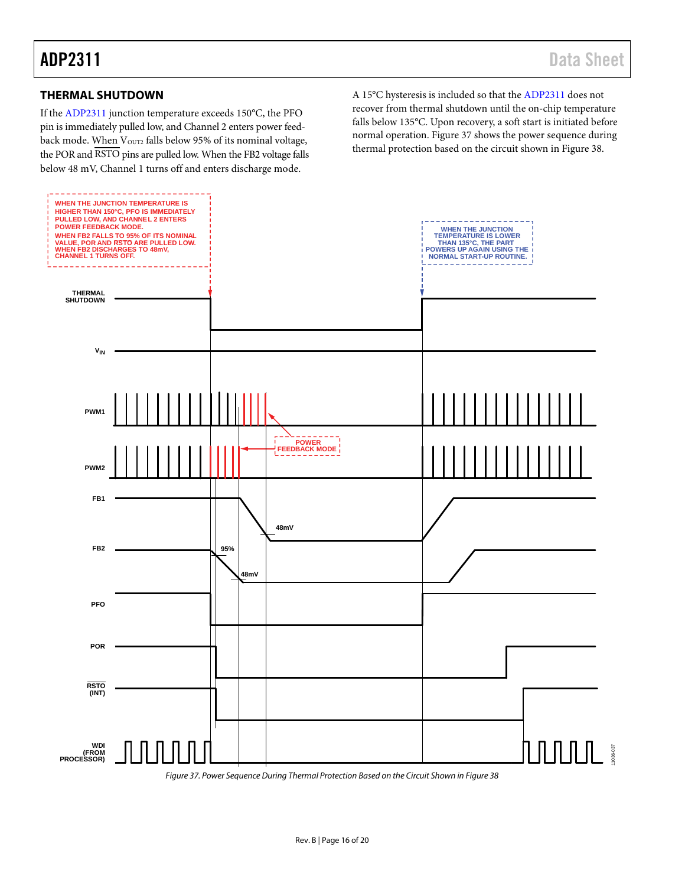### <span id="page-15-0"></span>**THERMAL SHUTDOWN**

If the [ADP2311](http://www.analog.com/ADP2311?doc=ADP2311.pdf) junction temperature exceeds 150°C, the PFO pin is immediately pulled low, and Channel 2 enters power feedback mode. When VOUT2 falls below 95% of its nominal voltage, the POR and RSTO pins are pulled low. When the FB2 voltage falls below 48 mV, Channel 1 turns off and enters discharge mode.

A 15°C hysteresis is included so that th[e ADP2311](http://www.analog.com/ADP2311?doc=ADP2311.pdf) does not recover from thermal shutdown until the on-chip temperature falls below 135°C. Upon recovery, a soft start is initiated before normal operation. [Figure 37](#page-15-1) shows the power sequence during thermal protection based on the circuit shown i[n Figure 38.](#page-18-1)

<span id="page-15-1"></span>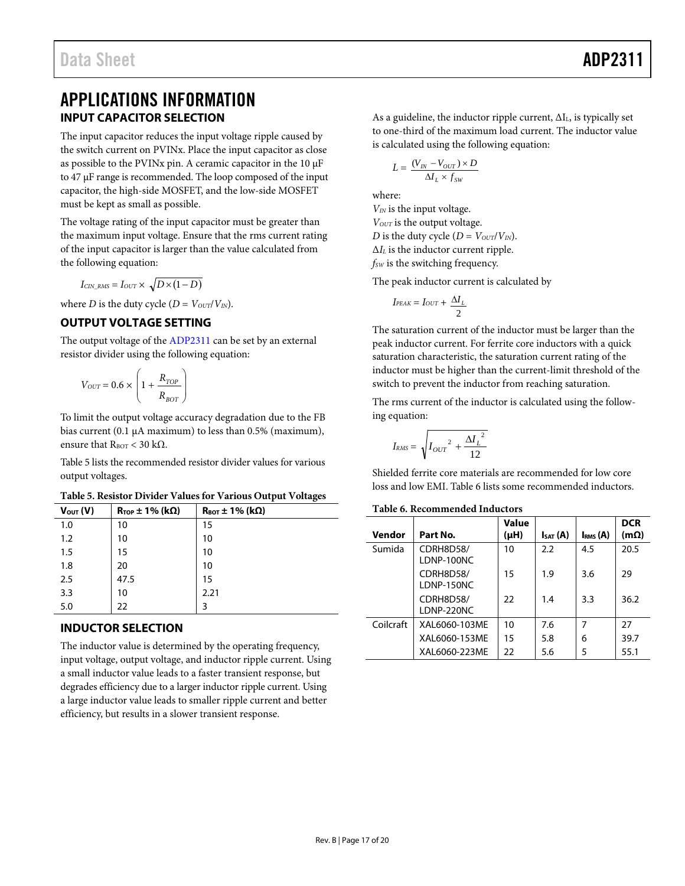## <span id="page-16-0"></span>APPLICATIONS INFORMATION **INPUT CAPACITOR SELECTION**

<span id="page-16-1"></span>The input capacitor reduces the input voltage ripple caused by the switch current on PVINx. Place the input capacitor as close as possible to the PVINx pin. A ceramic capacitor in the 10 μF to 47 μF range is recommended. The loop composed of the input capacitor, the high-side MOSFET, and the low-side MOSFET must be kept as small as possible.

The voltage rating of the input capacitor must be greater than the maximum input voltage. Ensure that the rms current rating of the input capacitor is larger than the value calculated from the following equation:

 $I_{CIN RMS} = I_{OUT} \times \sqrt{D \times (1 - D)}$ 

where *D* is the duty cycle  $(D = V_{OUT}/V_{IN})$ .

### <span id="page-16-2"></span>**OUTPUT VOLTAGE SETTING**

The output voltage of th[e ADP2311](http://www.analog.com/ADP2311?doc=ADP2311.pdf) can be set by an external resistor divider using the following equation:

$$
V_{OUT}=0.6\times\left(1+\frac{R_{TOP}}{R_{BOT}}\right)
$$

To limit the output voltage accuracy degradation due to the FB bias current (0.1  $\mu$ A maximum) to less than 0.5% (maximum), ensure that  $R_{\text{BOT}}$  < 30 kΩ.

[Table 5](#page-16-4) lists the recommended resistor divider values for various output voltages.

<span id="page-16-4"></span>**Table 5. Resistor Divider Values for Various Output Voltages**

| $V_{\text{OUT}}(V)$ | $R_{\text{TOP}} \pm 1\%$ (kΩ) | $R_{\text{BOT}}$ ± 1% (k $\Omega$ ) |
|---------------------|-------------------------------|-------------------------------------|
| 1.0                 | 10                            | 15                                  |
| 1.2                 | 10                            | 10                                  |
| 1.5                 | 15                            | 10                                  |
| 1.8                 | 20                            | 10                                  |
| 2.5                 | 47.5                          | 15                                  |
| 3.3                 | 10                            | 2.21                                |
| 5.0                 | 22                            | 3                                   |

### <span id="page-16-3"></span>**INDUCTOR SELECTION**

The inductor value is determined by the operating frequency, input voltage, output voltage, and inductor ripple current. Using a small inductor value leads to a faster transient response, but degrades efficiency due to a larger inductor ripple current. Using a large inductor value leads to smaller ripple current and better efficiency, but results in a slower transient response.

As a guideline, the inductor ripple current,  $\Delta I_L$ , is typically set to one-third of the maximum load current. The inductor value is calculated using the following equation:

$$
L = \frac{(V_{IN} - V_{OUT}) \times D}{\Delta I_L \times f_{SW}}
$$

where:

*VIN* is the input voltage. *V<sub>OUT</sub>* is the output voltage. *D* is the duty cycle  $(D = V_{OUT}/V_{IN})$ . Δ*IL* is the inductor current ripple. *fSW* is the switching frequency.

The peak inductor current is calculated by

$$
I_{PEAK} = I_{OUT} + \frac{\Delta I_L}{2}
$$

The saturation current of the inductor must be larger than the peak inductor current. For ferrite core inductors with a quick saturation characteristic, the saturation current rating of the inductor must be higher than the current-limit threshold of the switch to prevent the inductor from reaching saturation.

The rms current of the inductor is calculated using the following equation:

$$
I_{RMS} = \sqrt{I_{OUT}^2 + \frac{\Delta I_L^2}{12}}
$$

Shielded ferrite core materials are recommended for low core loss and low EMI. [Table 6](#page-16-5) lists some recommended inductors.

### <span id="page-16-5"></span>**Table 6. Recommended Inductors**

| Vendor    | Part No.                | Value<br>$(\mu H)$ | $I_{SAT}$ (A) | Ims(A) | <b>DCR</b><br>$(m\Omega)$ |
|-----------|-------------------------|--------------------|---------------|--------|---------------------------|
| Sumida    | CDRH8D58/<br>LDNP-100NC | 10                 | 2.2           | 4.5    | 20.5                      |
|           | CDRH8D58/<br>LDNP-150NC | 15                 | 1.9           | 3.6    | 29                        |
|           | CDRH8D58/<br>LDNP-220NC | 22                 | 1.4           | 3.3    | 36.2                      |
| Coilcraft | XAL6060-103ME           | 10                 | 7.6           | 7      | 27                        |
|           | XAL6060-153ME           | 15                 | 5.8           | 6      | 39.7                      |
|           | XAL6060-223ME           | 22                 | 5.6           | 5      | 55.1                      |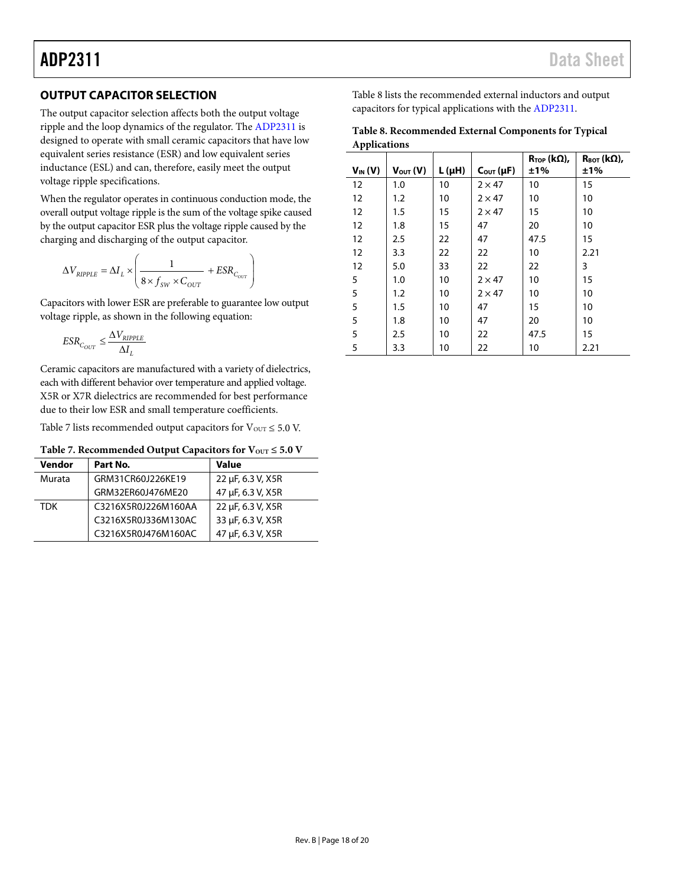### <span id="page-17-0"></span>**OUTPUT CAPACITOR SELECTION**

The output capacitor selection affects both the output voltage ripple and the loop dynamics of the regulator. The [ADP2311](http://www.analog.com/ADP2311?doc=ADP2311.pdf) is designed to operate with small ceramic capacitors that have low equivalent series resistance (ESR) and low equivalent series inductance (ESL) and can, therefore, easily meet the output voltage ripple specifications.

When the regulator operates in continuous conduction mode, the overall output voltage ripple is the sum of the voltage spike caused by the output capacitor ESR plus the voltage ripple caused by the charging and discharging of the output capacitor.

$$
\Delta V_{RIPPLE} = \Delta I_L \times \left(\frac{1}{8 \times f_{SW} \times C_{OUT}} + ESR_{C_{OUT}}\right)
$$

Capacitors with lower ESR are preferable to guarantee low output voltage ripple, as shown in the following equation:

$$
ESR_{C_{OUT}} \leq \frac{\Delta V_{RIPPLE}}{\Delta I_L}
$$

Ceramic capacitors are manufactured with a variety of dielectrics, each with different behavior over temperature and applied voltage. X5R or X7R dielectrics are recommended for best performance due to their low ESR and small temperature coefficients.

[Table 7](#page-17-1) lists recommended output capacitors for  $V_{\text{OUT}} \leq 5.0$  V.

### <span id="page-17-1"></span>Table 7. Recommended Output Capacitors for  $V_{OUT} \le 5.0 V$

| Vendor     | Part No.            | Value             |
|------------|---------------------|-------------------|
| Murata     | GRM31CR60J226KE19   | 22 µF, 6.3 V, X5R |
|            | GRM32ER60J476ME20   | 47 µF, 6.3 V, X5R |
| <b>TDK</b> | C3216X5R0J226M160AA | 22 µF, 6.3 V, X5R |
|            | C3216X5R0J336M130AC | 33 µF, 6.3 V, X5R |
|            | C3216X5R0J476M160AC | 47 µF, 6.3 V, X5R |

[Table 8](#page-17-2) lists the recommended external inductors and output capacitors for typical applications with the [ADP2311.](http://www.analog.com/ADP2311?doc=ADP2311.pdf)

<span id="page-17-2"></span>

| Table 8. Recommended External Components for Typical |
|------------------------------------------------------|
| Applications                                         |

| $V_{IN}(V)$ | $V_{\text{OUT}}(V)$ | L (μH) | $C_{\text{OUT}}(\mu F)$ | $R_{\text{TOP}}$ (k $\Omega$ ),<br>±1% | $R_{\text{BOT}}$ (k $\Omega$ ),<br>±1% |
|-------------|---------------------|--------|-------------------------|----------------------------------------|----------------------------------------|
| 12          | 1.0                 | 10     | $2 \times 47$           | 10                                     | 15                                     |
| 12          | 1.2                 | 10     | $2 \times 47$           | 10                                     | 10                                     |
| 12          | 1.5                 | 15     | $2 \times 47$           | 15                                     | 10                                     |
| 12          | 1.8                 | 15     | 47                      | 20                                     | 10                                     |
| 12          | 2.5                 | 22     | 47                      | 47.5                                   | 15                                     |
| 12          | 3.3                 | 22     | 22                      | 10                                     | 2.21                                   |
| 12          | 5.0                 | 33     | 22                      | 22                                     | 3                                      |
| 5           | 1.0                 | 10     | $2 \times 47$           | 10                                     | 15                                     |
| 5           | 1.2                 | 10     | $2 \times 47$           | 10                                     | 10                                     |
| 5           | 1.5                 | 10     | 47                      | 15                                     | 10                                     |
| 5           | 1.8                 | 10     | 47                      | 20                                     | 10                                     |
| 5           | 2.5                 | 10     | 22                      | 47.5                                   | 15                                     |
| 5           | 3.3                 | 10     | 22                      | 10                                     | 2.21                                   |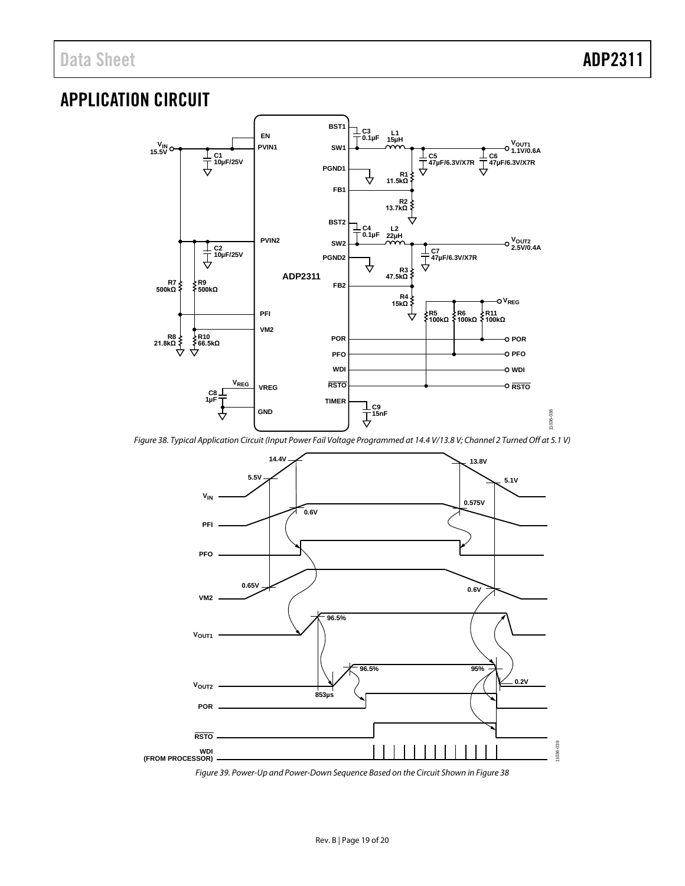# <span id="page-18-0"></span>APPLICATION CIRCUIT



<span id="page-18-1"></span>*Figure 38. Typical Application Circuit (Input Power Fail Voltage Programmed at 14.4 V/13.8 V; Channel 2 Turned Off at 5.1 V)*



*Figure 39. Power-Up and Power-Down Sequence Based on the Circuit Shown i[n Figure 38](#page-18-1)*